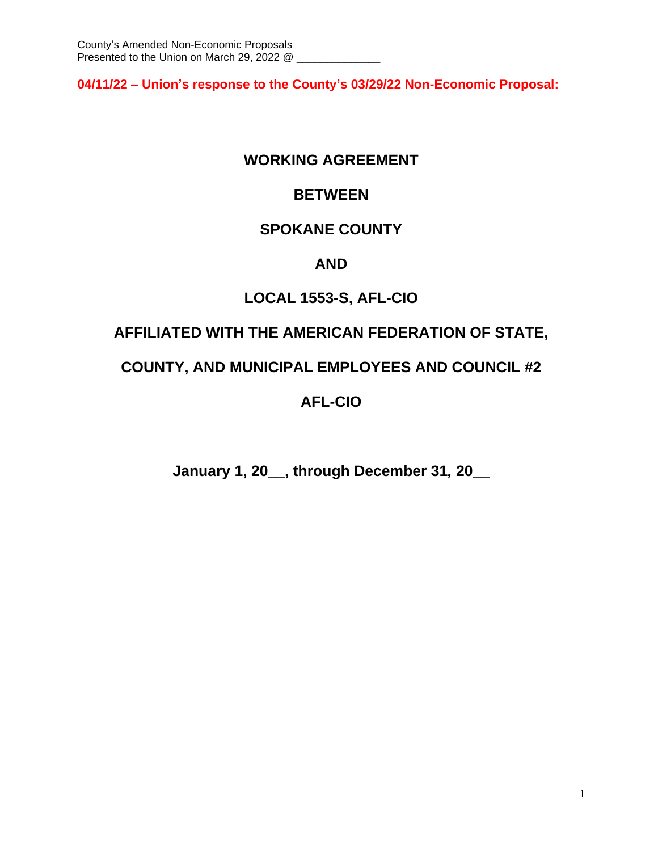**04/11/22 – Union's response to the County's 03/29/22 Non-Economic Proposal:**

# **WORKING AGREEMENT**

# **BETWEEN**

# **SPOKANE COUNTY**

# **AND**

# **LOCAL 1553-S, AFL-CIO**

# **AFFILIATED WITH THE AMERICAN FEDERATION OF STATE,**

# **COUNTY, AND MUNICIPAL EMPLOYEES AND COUNCIL #2**

# **AFL-CIO**

**January 1, 20\_\_, through December 31***,* **20\_\_**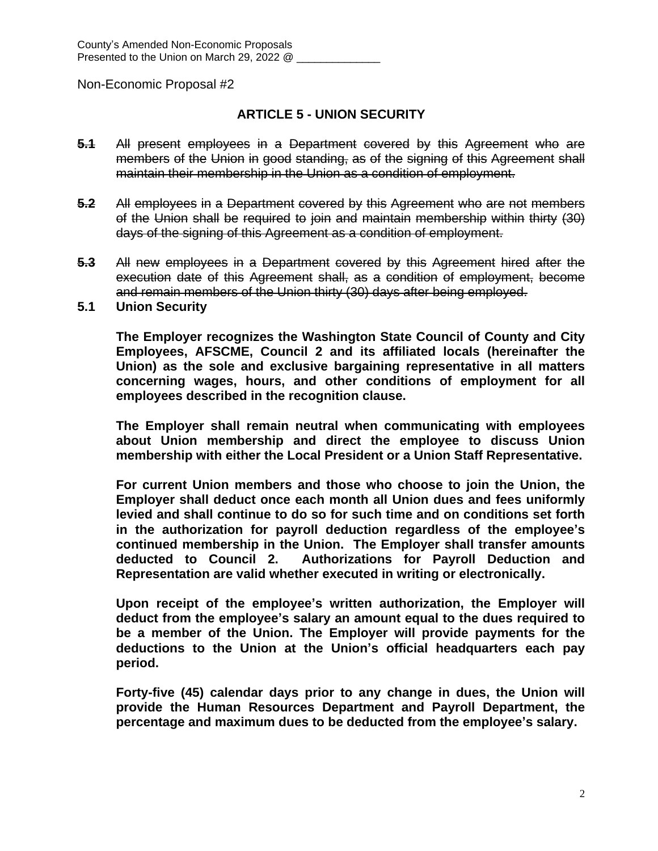## **ARTICLE 5 - UNION SECURITY**

- **5.1** All present employees in a Department covered by this Agreement who are members of the Union in good standing, as of the signing of this Agreement shall maintain their membership in the Union as a condition of employment.
- **5.2** All employees in a Department covered by this Agreement who are not members of the Union shall be required to join and maintain membership within thirty (30) days of the signing of this Agreement as a condition of employment.
- **5.3** All new employees in a Department covered by this Agreement hired after the execution date of this Agreement shall, as a condition of employment, become and remain members of the Union thirty (30) days after being employed.
- **5.1 Union Security**

**The Employer recognizes the Washington State Council of County and City Employees, AFSCME, Council 2 and its affiliated locals (hereinafter the Union) as the sole and exclusive bargaining representative in all matters concerning wages, hours, and other conditions of employment for all employees described in the recognition clause.**

**The Employer shall remain neutral when communicating with employees about Union membership and direct the employee to discuss Union membership with either the Local President or a Union Staff Representative.**

**For current Union members and those who choose to join the Union, the Employer shall deduct once each month all Union dues and fees uniformly levied and shall continue to do so for such time and on conditions set forth in the authorization for payroll deduction regardless of the employee's continued membership in the Union. The Employer shall transfer amounts deducted to Council 2. Authorizations for Payroll Deduction and Representation are valid whether executed in writing or electronically.** 

**Upon receipt of the employee's written authorization, the Employer will deduct from the employee's salary an amount equal to the dues required to be a member of the Union. The Employer will provide payments for the deductions to the Union at the Union's official headquarters each pay period.** 

**Forty-five (45) calendar days prior to any change in dues, the Union will provide the Human Resources Department and Payroll Department, the percentage and maximum dues to be deducted from the employee's salary.**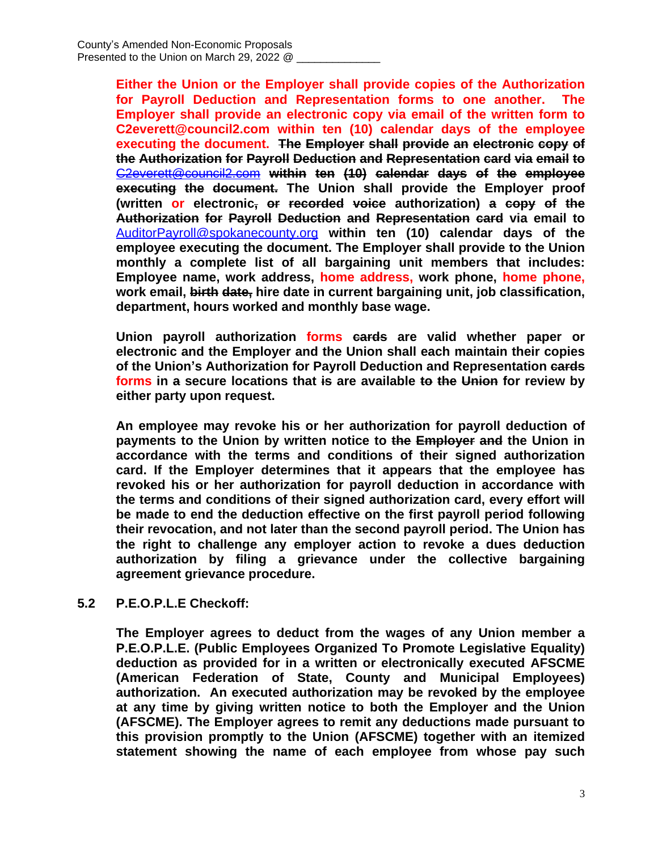**Either the Union or the Employer shall provide copies of the Authorization for Payroll Deduction and Representation forms to one another. The Employer shall provide an electronic copy via email of the written form to C2everett@council2.com within ten (10) calendar days of the employee executing the document. The Employer shall provide an electronic copy of the Authorization for Payroll Deduction and Representation card via email to** [C2everett@council2.com](mailto:C2everett@council2.com) **within ten (10) calendar days of the employee executing the document. The Union shall provide the Employer proof (written or electronic, or recorded voice authorization) a copy of the Authorization for Payroll Deduction and Representation card via email to** [AuditorPayroll@spokanecounty.org](mailto:AuditorPayroll@spokanecounty.org) **within ten (10) calendar days of the employee executing the document. The Employer shall provide to the Union monthly a complete list of all bargaining unit members that includes: Employee name, work address, home address, work phone, home phone, work email, birth date, hire date in current bargaining unit, job classification, department, hours worked and monthly base wage.**

**Union payroll authorization forms cards are valid whether paper or electronic and the Employer and the Union shall each maintain their copies of the Union's Authorization for Payroll Deduction and Representation cards forms in a secure locations that is are available to the Union for review by either party upon request.** 

**An employee may revoke his or her authorization for payroll deduction of payments to the Union by written notice to the Employer and the Union in accordance with the terms and conditions of their signed authorization card. If the Employer determines that it appears that the employee has revoked his or her authorization for payroll deduction in accordance with the terms and conditions of their signed authorization card, every effort will be made to end the deduction effective on the first payroll period following their revocation, and not later than the second payroll period. The Union has the right to challenge any employer action to revoke a dues deduction authorization by filing a grievance under the collective bargaining agreement grievance procedure.**

### **5.2 P.E.O.P.L.E Checkoff:**

**The Employer agrees to deduct from the wages of any Union member a P.E.O.P.L.E. (Public Employees Organized To Promote Legislative Equality) deduction as provided for in a written or electronically executed AFSCME (American Federation of State, County and Municipal Employees) authorization. An executed authorization may be revoked by the employee at any time by giving written notice to both the Employer and the Union (AFSCME). The Employer agrees to remit any deductions made pursuant to this provision promptly to the Union (AFSCME) together with an itemized statement showing the name of each employee from whose pay such**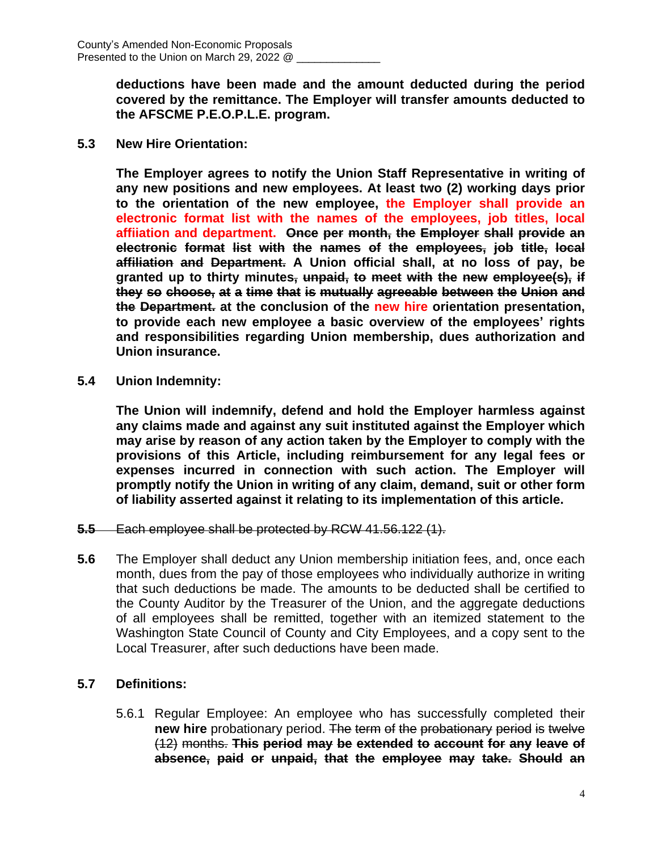**deductions have been made and the amount deducted during the period covered by the remittance. The Employer will transfer amounts deducted to the AFSCME P.E.O.P.L.E. program.**

**5.3 New Hire Orientation:**

**The Employer agrees to notify the Union Staff Representative in writing of any new positions and new employees. At least two (2) working days prior to the orientation of the new employee, the Employer shall provide an electronic format list with the names of the employees, job titles, local affiiation and department. Once per month, the Employer shall provide an electronic format list with the names of the employees, job title, local affiliation and Department. A Union official shall, at no loss of pay, be granted up to thirty minutes, unpaid, to meet with the new employee(s), if they so choose, at a time that is mutually agreeable between the Union and the Department. at the conclusion of the new hire orientation presentation, to provide each new employee a basic overview of the employees' rights and responsibilities regarding Union membership, dues authorization and Union insurance.**

**5.4 Union Indemnity:**

**The Union will indemnify, defend and hold the Employer harmless against any claims made and against any suit instituted against the Employer which may arise by reason of any action taken by the Employer to comply with the provisions of this Article, including reimbursement for any legal fees or expenses incurred in connection with such action. The Employer will promptly notify the Union in writing of any claim, demand, suit or other form of liability asserted against it relating to its implementation of this article.**

- **5.5** Each employee shall be protected by RCW 41.56.122 (1).
- **5.6** The Employer shall deduct any Union membership initiation fees, and, once each month, dues from the pay of those employees who individually authorize in writing that such deductions be made. The amounts to be deducted shall be certified to the County Auditor by the Treasurer of the Union, and the aggregate deductions of all employees shall be remitted, together with an itemized statement to the Washington State Council of County and City Employees, and a copy sent to the Local Treasurer, after such deductions have been made.

### **5.7 Definitions:**

5.6.1 Regular Employee: An employee who has successfully completed their **new hire** probationary period. The term of the probationary period is twelve (12) months. **This period may be extended to account for any leave of absence, paid or unpaid, that the employee may take. Should an**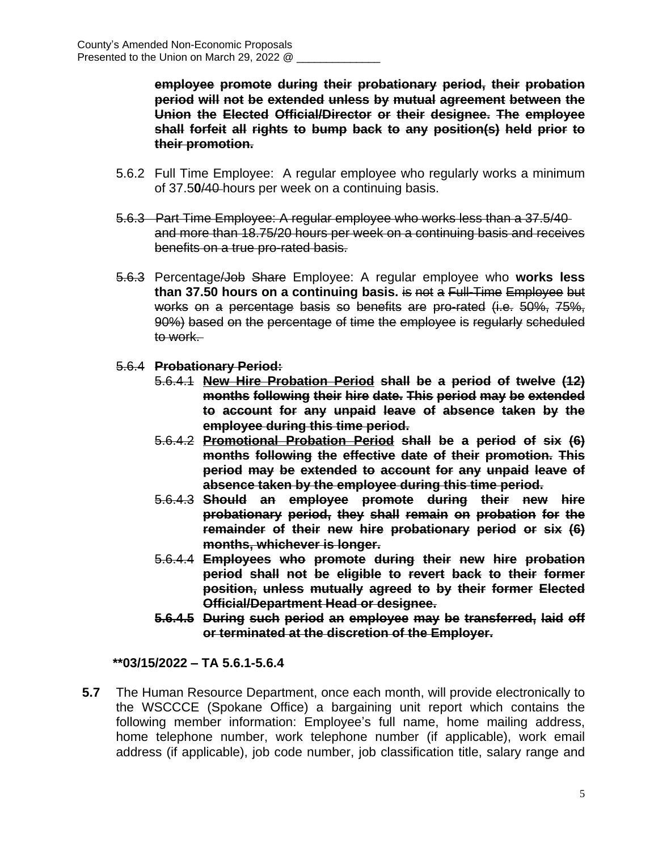**employee promote during their probationary period, their probation period will not be extended unless by mutual agreement between the Union the Elected Official/Director or their designee. The employee shall forfeit all rights to bump back to any position(s) held prior to their promotion.**

- 5.6.2 Full Time Employee: A regular employee who regularly works a minimum of 37.5**0**/40 hours per week on a continuing basis.
- 5.6.3 Part Time Employee: A regular employee who works less than a 37.5/40 and more than 18.75/20 hours per week on a continuing basis and receives benefits on a true pro-rated basis.
- 5.6.3 Percentage/Job Share Employee: A regular employee who **works less than 37.50 hours on a continuing basis.** is not a Full-Time Employee but works on a percentage basis so benefits are pro-rated (i.e. 50%, 75%, 90%) based on the percentage of time the employee is regularly scheduled to work.
- 5.6.4 **Probationary Period:**
	- 5.6.4.1 **New Hire Probation Period shall be a period of twelve (12) months following their hire date. This period may be extended to account for any unpaid leave of absence taken by the employee during this time period.**
	- 5.6.4.2 **Promotional Probation Period shall be a period of six (6) months following the effective date of their promotion. This period may be extended to account for any unpaid leave of absence taken by the employee during this time period.**
	- 5.6.4.3 **Should an employee promote during their new hire probationary period, they shall remain on probation for the remainder of their new hire probationary period or six (6) months, whichever is longer.**
	- 5.6.4.4 **Employees who promote during their new hire probation period shall not be eligible to revert back to their former position, unless mutually agreed to by their former Elected Official/Department Head or designee.**
	- **5.6.4.5 During such period an employee may be transferred, laid off or terminated at the discretion of the Employer.**

**\*\*03/15/2022 – TA 5.6.1-5.6.4**

**5.7** The Human Resource Department, once each month, will provide electronically to the WSCCCE (Spokane Office) a bargaining unit report which contains the following member information: Employee's full name, home mailing address, home telephone number, work telephone number (if applicable), work email address (if applicable), job code number, job classification title, salary range and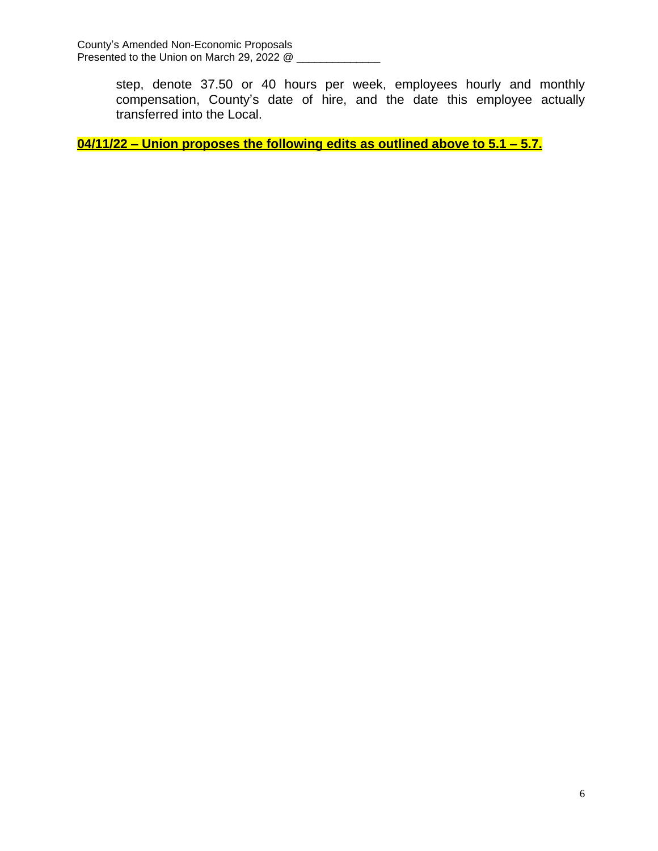step, denote 37.50 or 40 hours per week, employees hourly and monthly compensation, County's date of hire, and the date this employee actually transferred into the Local.

**04/11/22 – Union proposes the following edits as outlined above to 5.1 – 5.7.**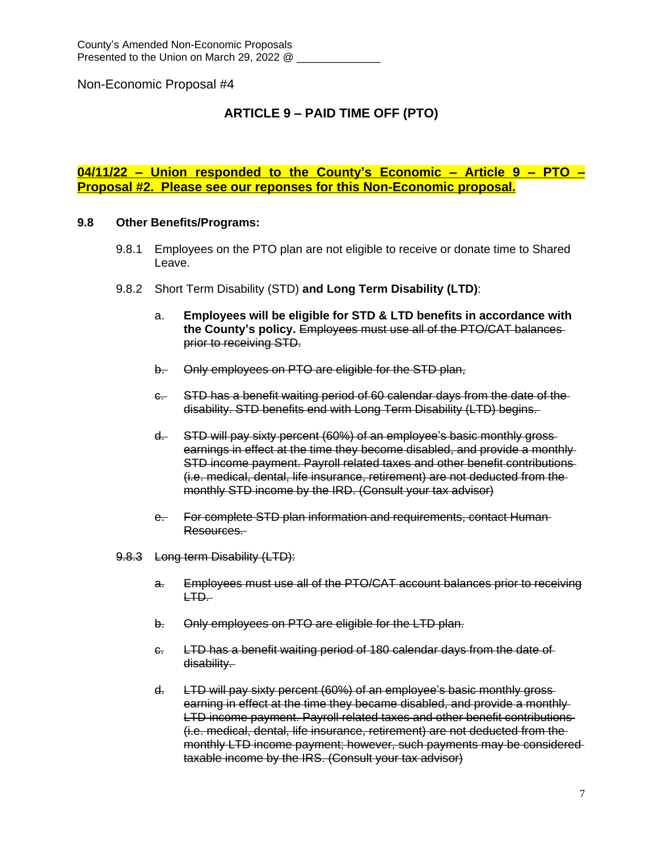## **ARTICLE 9 – PAID TIME OFF (PTO)**

**04/11/22 – Union responded to the County's Economic – Article 9 – PTO – Proposal #2. Please see our reponses for this Non-Economic proposal.**

#### **9.8 Other Benefits/Programs:**

- 9.8.1 Employees on the PTO plan are not eligible to receive or donate time to Shared Leave.
- 9.8.2 Short Term Disability (STD) **and Long Term Disability (LTD)**:
	- a. **Employees will be eligible for STD & LTD benefits in accordance with the County's policy.** Employees must use all of the PTO/CAT balances prior to receiving STD.
	- b. Only employees on PTO are eligible for the STD plan,
	- c. STD has a benefit waiting period of 60 calendar days from the date of the disability. STD benefits end with Long Term Disability (LTD) begins.
	- d. STD will pay sixty percent (60%) of an employee's basic monthly gross earnings in effect at the time they become disabled, and provide a monthly STD income payment. Payroll related taxes and other benefit contributions (i.e. medical, dental, life insurance, retirement) are not deducted from the monthly STD income by the IRD. (Consult your tax advisor)
	- e. For complete STD plan information and requirements, contact Human Resources.
- 9.8.3 Long term Disability (LTD):
	- a. Employees must use all of the PTO/CAT account balances prior to receiving LTD.
	- b. Only employees on PTO are eligible for the LTD plan.
	- c. LTD has a benefit waiting period of 180 calendar days from the date of disability.
	- d. LTD will pay sixty percent (60%) of an employee's basic monthly gross earning in effect at the time they became disabled, and provide a monthly-LTD income payment. Payroll related taxes and other benefit contributions (i.e. medical, dental, life insurance, retirement) are not deducted from the monthly LTD income payment; however, such payments may be considered taxable income by the IRS. (Consult your tax advisor)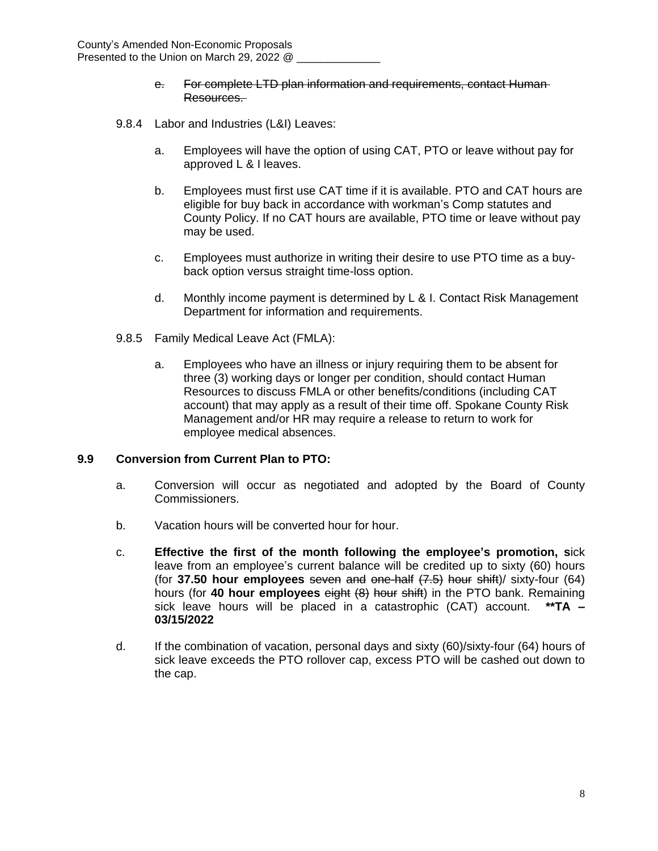- e. For complete LTD plan information and requirements, contact Human Resources.
- 9.8.4 Labor and Industries (L&I) Leaves:
	- a. Employees will have the option of using CAT, PTO or leave without pay for approved L & I leaves.
	- b. Employees must first use CAT time if it is available. PTO and CAT hours are eligible for buy back in accordance with workman's Comp statutes and County Policy. If no CAT hours are available, PTO time or leave without pay may be used.
	- c. Employees must authorize in writing their desire to use PTO time as a buyback option versus straight time-loss option.
	- d. Monthly income payment is determined by L & I. Contact Risk Management Department for information and requirements.
- 9.8.5 Family Medical Leave Act (FMLA):
	- a. Employees who have an illness or injury requiring them to be absent for three (3) working days or longer per condition, should contact Human Resources to discuss FMLA or other benefits/conditions (including CAT account) that may apply as a result of their time off. Spokane County Risk Management and/or HR may require a release to return to work for employee medical absences.

#### **9.9 Conversion from Current Plan to PTO:**

- a. Conversion will occur as negotiated and adopted by the Board of County Commissioners.
- b. Vacation hours will be converted hour for hour.
- c. **Effective the first of the month following the employee's promotion, s**ick leave from an employee's current balance will be credited up to sixty (60) hours (for **37.50 hour employees** seven and one-half (7.5) hour shift)/ sixty-four (64) hours (for **40 hour employees** eight (8) hour shift) in the PTO bank. Remaining sick leave hours will be placed in a catastrophic (CAT) account. **\*\*TA – 03/15/2022**
- d. If the combination of vacation, personal days and sixty (60)/sixty-four (64) hours of sick leave exceeds the PTO rollover cap, excess PTO will be cashed out down to the cap.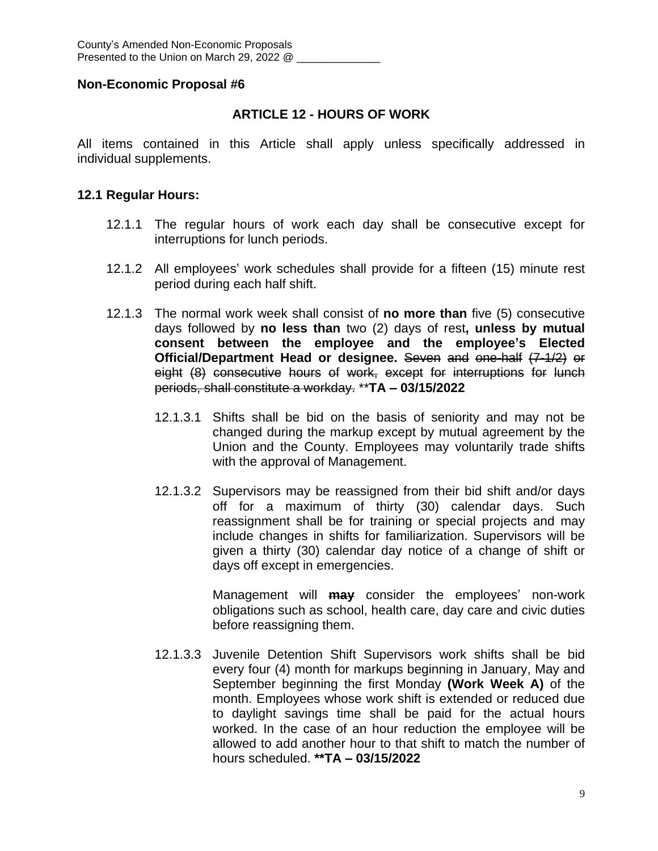## **ARTICLE 12 - HOURS OF WORK**

All items contained in this Article shall apply unless specifically addressed in individual supplements.

## **12.1 Regular Hours:**

- 12.1.1 The regular hours of work each day shall be consecutive except for interruptions for lunch periods.
- 12.1.2 All employees' work schedules shall provide for a fifteen (15) minute rest period during each half shift.
- 12.1.3 The normal work week shall consist of **no more than** five (5) consecutive days followed by **no less than** two (2) days of rest**, unless by mutual consent between the employee and the employee's Elected Official/Department Head or designee.** Seven and one-half (7-1/2) or eight (8) consecutive hours of work, except for interruptions for lunch periods, shall constitute a workday. \*\***TA – 03/15/2022**
	- 12.1.3.1 Shifts shall be bid on the basis of seniority and may not be changed during the markup except by mutual agreement by the Union and the County. Employees may voluntarily trade shifts with the approval of Management.
	- 12.1.3.2 Supervisors may be reassigned from their bid shift and/or days off for a maximum of thirty (30) calendar days. Such reassignment shall be for training or special projects and may include changes in shifts for familiarization. Supervisors will be given a thirty (30) calendar day notice of a change of shift or days off except in emergencies.

Management will **may** consider the employees' non-work obligations such as school, health care, day care and civic duties before reassigning them.

12.1.3.3 Juvenile Detention Shift Supervisors work shifts shall be bid every four (4) month for markups beginning in January, May and September beginning the first Monday **(Work Week A)** of the month. Employees whose work shift is extended or reduced due to daylight savings time shall be paid for the actual hours worked. In the case of an hour reduction the employee will be allowed to add another hour to that shift to match the number of hours scheduled. **\*\*TA – 03/15/2022**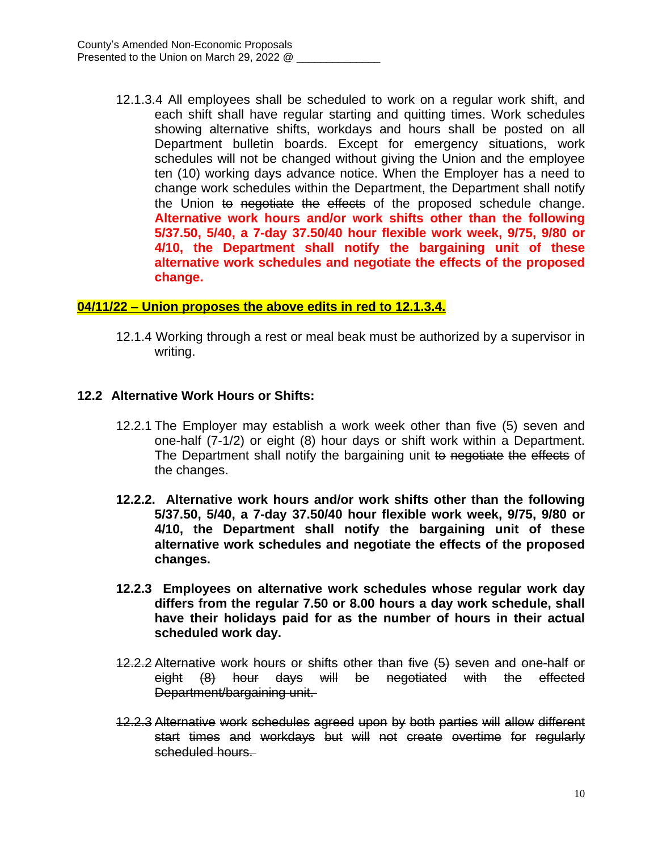12.1.3.4 All employees shall be scheduled to work on a regular work shift, and each shift shall have regular starting and quitting times. Work schedules showing alternative shifts, workdays and hours shall be posted on all Department bulletin boards. Except for emergency situations, work schedules will not be changed without giving the Union and the employee ten (10) working days advance notice. When the Employer has a need to change work schedules within the Department, the Department shall notify the Union to negotiate the effects of the proposed schedule change. **Alternative work hours and/or work shifts other than the following 5/37.50, 5/40, a 7-day 37.50/40 hour flexible work week, 9/75, 9/80 or 4/10, the Department shall notify the bargaining unit of these alternative work schedules and negotiate the effects of the proposed change.** 

### **04/11/22 – Union proposes the above edits in red to 12.1.3.4.**

12.1.4 Working through a rest or meal beak must be authorized by a supervisor in writing.

#### **12.2 Alternative Work Hours or Shifts:**

- 12.2.1 The Employer may establish a work week other than five (5) seven and one-half (7-1/2) or eight (8) hour days or shift work within a Department. The Department shall notify the bargaining unit to negotiate the effects of the changes.
- **12.2.2. Alternative work hours and/or work shifts other than the following 5/37.50, 5/40, a 7-day 37.50/40 hour flexible work week, 9/75, 9/80 or 4/10, the Department shall notify the bargaining unit of these alternative work schedules and negotiate the effects of the proposed changes.**
- **12.2.3 Employees on alternative work schedules whose regular work day differs from the regular 7.50 or 8.00 hours a day work schedule, shall have their holidays paid for as the number of hours in their actual scheduled work day.**
- 12.2.2 Alternative work hours or shifts other than five (5) seven and one-half or eight (8) hour days will be negotiated with the effected Department/bargaining unit.
- 12.2.3 Alternative work schedules agreed upon by both parties will allow different start times and workdays but will not create overtime for regularly scheduled hours.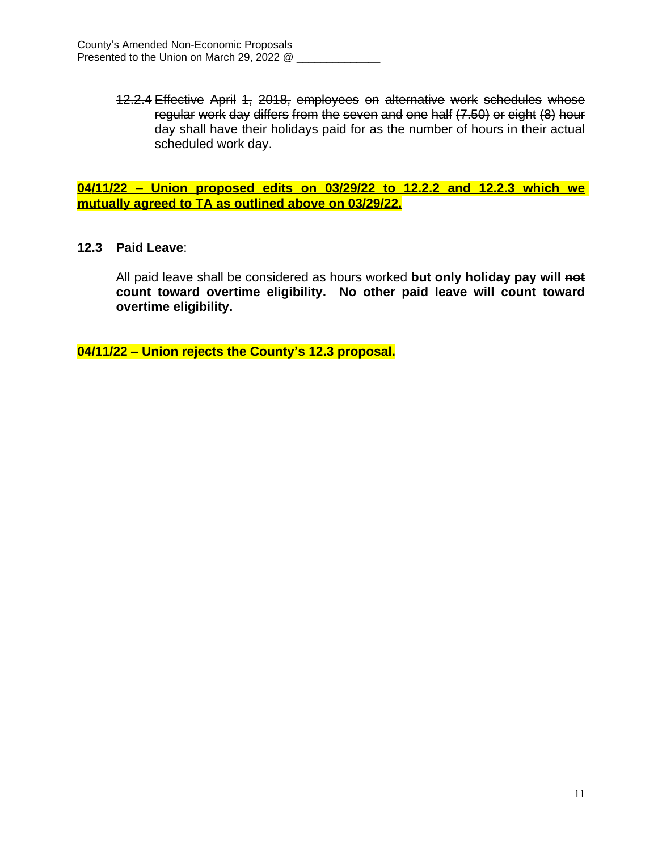12.2.4 Effective April 1, 2018, employees on alternative work schedules whose regular work day differs from the seven and one half (7.50) or eight (8) hour day shall have their holidays paid for as the number of hours in their actual scheduled work day.

**04/11/22 – Union proposed edits on 03/29/22 to 12.2.2 and 12.2.3 which we mutually agreed to TA as outlined above on 03/29/22.**

### **12.3 Paid Leave**:

All paid leave shall be considered as hours worked **but only holiday pay will not count toward overtime eligibility. No other paid leave will count toward overtime eligibility.**

**04/11/22 – Union rejects the County's 12.3 proposal.**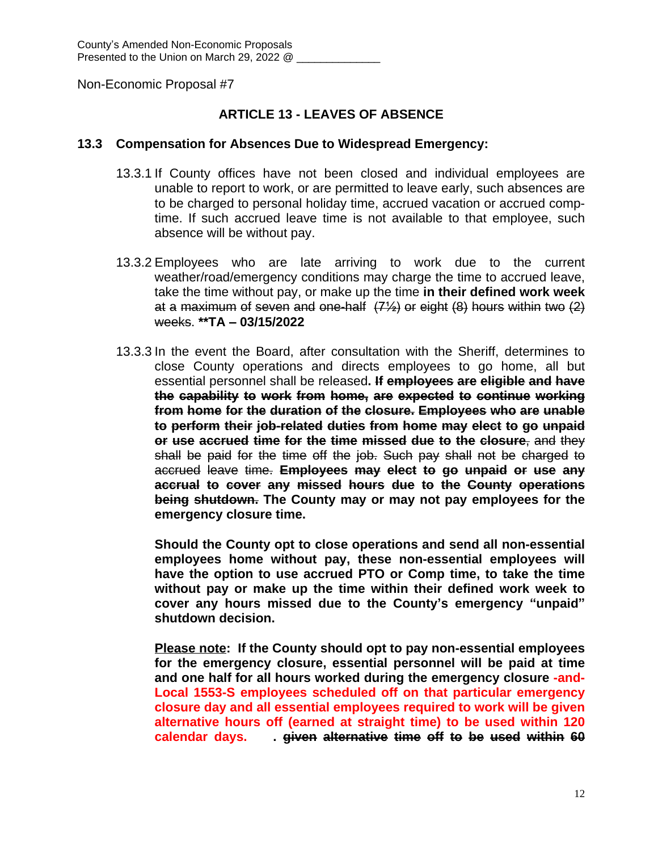## **ARTICLE 13 - LEAVES OF ABSENCE**

#### **13.3 Compensation for Absences Due to Widespread Emergency:**

- 13.3.1 If County offices have not been closed and individual employees are unable to report to work, or are permitted to leave early, such absences are to be charged to personal holiday time, accrued vacation or accrued comptime. If such accrued leave time is not available to that employee, such absence will be without pay.
- 13.3.2 Employees who are late arriving to work due to the current weather/road/emergency conditions may charge the time to accrued leave, take the time without pay, or make up the time **in their defined work week** at a maximum of seven and one-half  $(7\frac{1}{2})$  or eight  $(8)$  hours within two  $(2)$ weeks. **\*\*TA – 03/15/2022**
- 13.3.3 In the event the Board, after consultation with the Sheriff, determines to close County operations and directs employees to go home, all but essential personnel shall be released**. If employees are eligible and have the capability to work from home, are expected to continue working from home for the duration of the closure. Employees who are unable to perform their job-related duties from home may elect to go unpaid or use accrued time for the time missed due to the closure**, and they shall be paid for the time off the job. Such pay shall not be charged to accrued leave time. **Employees may elect to go unpaid or use any accrual to cover any missed hours due to the County operations being shutdown. The County may or may not pay employees for the emergency closure time.**

**Should the County opt to close operations and send all non-essential employees home without pay, these non-essential employees will have the option to use accrued PTO or Comp time, to take the time without pay or make up the time within their defined work week to cover any hours missed due to the County's emergency "unpaid" shutdown decision.**

**Please note: If the County should opt to pay non-essential employees for the emergency closure, essential personnel will be paid at time and one half for all hours worked during the emergency closure -and-Local 1553-S employees scheduled off on that particular emergency closure day and all essential employees required to work will be given alternative hours off (earned at straight time) to be used within 120 calendar days. . given alternative time off to be used within 60**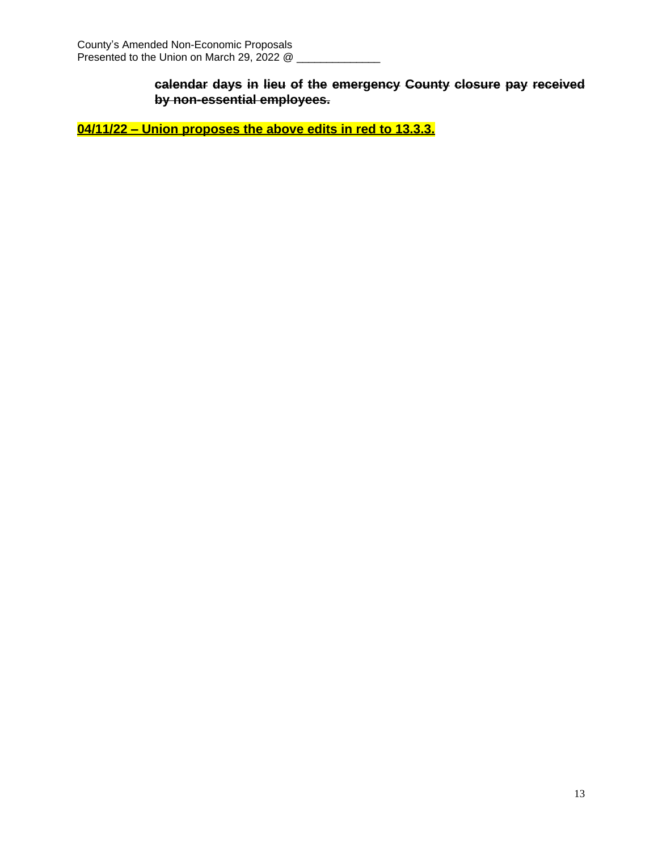**calendar days in lieu of the emergency County closure pay received by non-essential employees.**

**04/11/22 – Union proposes the above edits in red to 13.3.3.**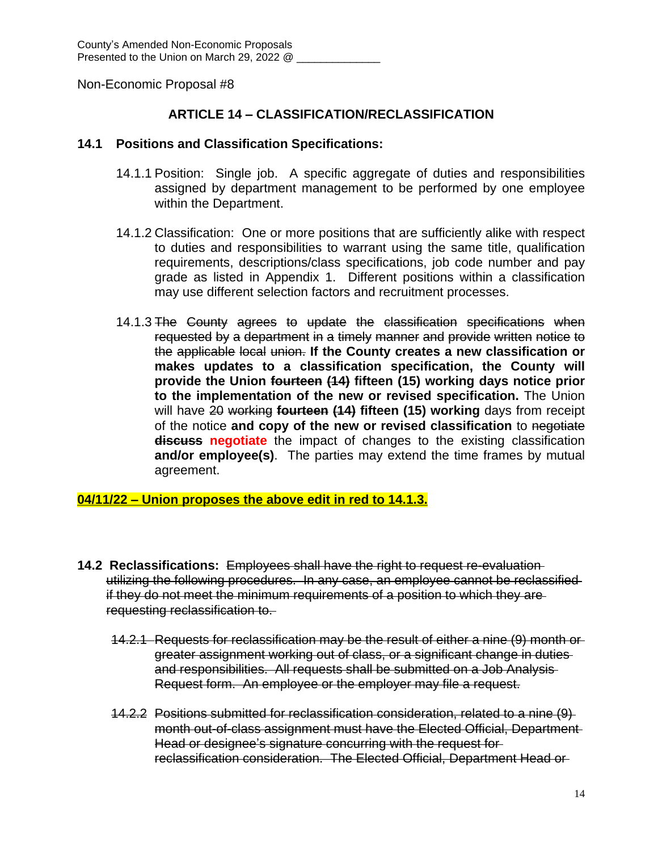## **ARTICLE 14 – CLASSIFICATION/RECLASSIFICATION**

#### **14.1 Positions and Classification Specifications:**

- 14.1.1 Position: Single job. A specific aggregate of duties and responsibilities assigned by department management to be performed by one employee within the Department.
- 14.1.2 Classification: One or more positions that are sufficiently alike with respect to duties and responsibilities to warrant using the same title, qualification requirements, descriptions/class specifications, job code number and pay grade as listed in Appendix 1. Different positions within a classification may use different selection factors and recruitment processes.
- 14.1.3 The County agrees to update the classification specifications when requested by a department in a timely manner and provide written notice to the applicable local union. **If the County creates a new classification or makes updates to a classification specification, the County will provide the Union fourteen (14) fifteen (15) working days notice prior to the implementation of the new or revised specification.** The Union will have 20 working **fourteen (14) fifteen (15) working** days from receipt of the notice **and copy of the new or revised classification** to negotiate **discuss negotiate** the impact of changes to the existing classification **and/or employee(s)**. The parties may extend the time frames by mutual agreement.

### **04/11/22 – Union proposes the above edit in red to 14.1.3.**

- **14.2 Reclassifications:** Employees shall have the right to request re-evaluation utilizing the following procedures. In any case, an employee cannot be reclassified if they do not meet the minimum requirements of a position to which they are requesting reclassification to.
	- 14.2.1 Requests for reclassification may be the result of either a nine (9) month or greater assignment working out of class, or a significant change in duties and responsibilities. All requests shall be submitted on a Job Analysis Request form. An employee or the employer may file a request.
	- 14.2.2 Positions submitted for reclassification consideration, related to a nine (9) month out-of-class assignment must have the Elected Official, Department Head or designee's signature concurring with the request for reclassification consideration. The Elected Official, Department Head or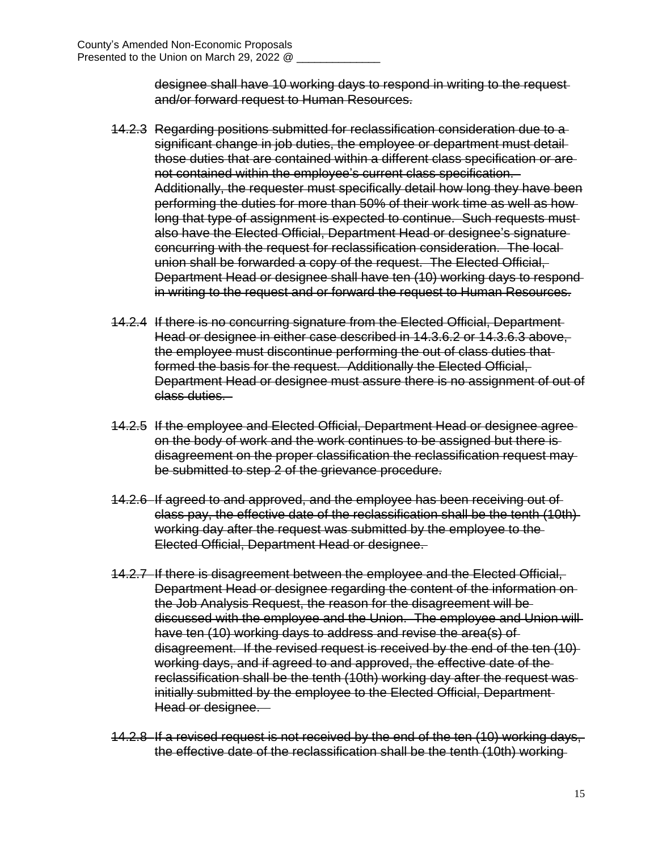designee shall have 10 working days to respond in writing to the request and/or forward request to Human Resources.

- 14.2.3 Regarding positions submitted for reclassification consideration due to a significant change in job duties, the employee or department must detail those duties that are contained within a different class specification or are not contained within the employee's current class specification. Additionally, the requester must specifically detail how long they have been performing the duties for more than 50% of their work time as well as how long that type of assignment is expected to continue. Such requests must also have the Elected Official, Department Head or designee's signature concurring with the request for reclassification consideration. The local union shall be forwarded a copy of the request. The Elected Official, Department Head or designee shall have ten (10) working days to respond in writing to the request and or forward the request to Human Resources.
- 14.2.4 If there is no concurring signature from the Elected Official, Department Head or designee in either case described in 14.3.6.2 or 14.3.6.3 above, the employee must discontinue performing the out of class duties that formed the basis for the request. Additionally the Elected Official, Department Head or designee must assure there is no assignment of out of class duties.
- 14.2.5 If the employee and Elected Official, Department Head or designee agree on the body of work and the work continues to be assigned but there is disagreement on the proper classification the reclassification request may be submitted to step 2 of the grievance procedure.
- 14.2.6 If agreed to and approved, and the employee has been receiving out of class pay, the effective date of the reclassification shall be the tenth (10th) working day after the request was submitted by the employee to the Elected Official, Department Head or designee.
- 14.2.7 If there is disagreement between the employee and the Elected Official, Department Head or designee regarding the content of the information on the Job Analysis Request, the reason for the disagreement will be discussed with the employee and the Union. The employee and Union will have ten (10) working days to address and revise the area(s) of disagreement. If the revised request is received by the end of the ten (10) working days, and if agreed to and approved, the effective date of the reclassification shall be the tenth (10th) working day after the request was initially submitted by the employee to the Elected Official, Department Head or designee.
- 14.2.8 If a revised request is not received by the end of the ten (10) working days, the effective date of the reclassification shall be the tenth (10th) working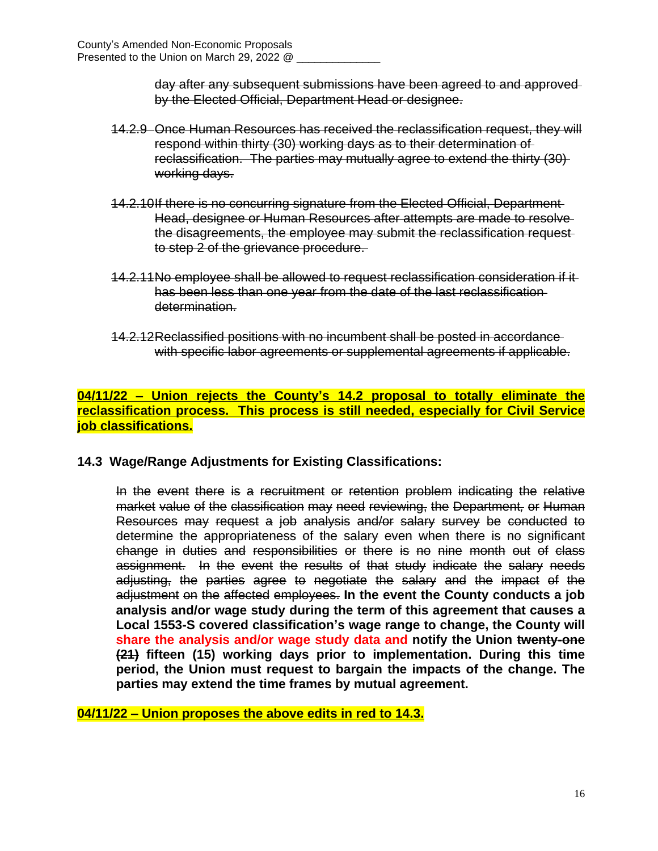day after any subsequent submissions have been agreed to and approved by the Elected Official, Department Head or designee.

- 14.2.9 Once Human Resources has received the reclassification request, they will respond within thirty (30) working days as to their determination of reclassification. The parties may mutually agree to extend the thirty (30) working days.
- 14.2.10If there is no concurring signature from the Elected Official, Department Head, designee or Human Resources after attempts are made to resolve the disagreements, the employee may submit the reclassification request to step 2 of the grievance procedure.
- 14.2.11No employee shall be allowed to request reclassification consideration if it has been less than one year from the date of the last reclassification determination.
- 14.2.12Reclassified positions with no incumbent shall be posted in accordance with specific labor agreements or supplemental agreements if applicable.

## **04/11/22 – Union rejects the County's 14.2 proposal to totally eliminate the reclassification process. This process is still needed, especially for Civil Service job classifications.**

### **14.3 Wage/Range Adjustments for Existing Classifications:**

In the event there is a recruitment or retention problem indicating the relative market value of the classification may need reviewing, the Department*,* or Human Resources may request a job analysis and/or salary survey be conducted to determine the appropriateness of the salary even when there is no significant change in duties and responsibilities or there is no nine month out of class assignment. In the event the results of that study indicate the salary needs adjusting, the parties agree to negotiate the salary and the impact of the adjustment on the affected employees. **In the event the County conducts a job analysis and/or wage study during the term of this agreement that causes a Local 1553-S covered classification's wage range to change, the County will share the analysis and/or wage study data and notify the Union twenty-one (21) fifteen (15) working days prior to implementation. During this time period, the Union must request to bargain the impacts of the change. The parties may extend the time frames by mutual agreement.**

**04/11/22 – Union proposes the above edits in red to 14.3.**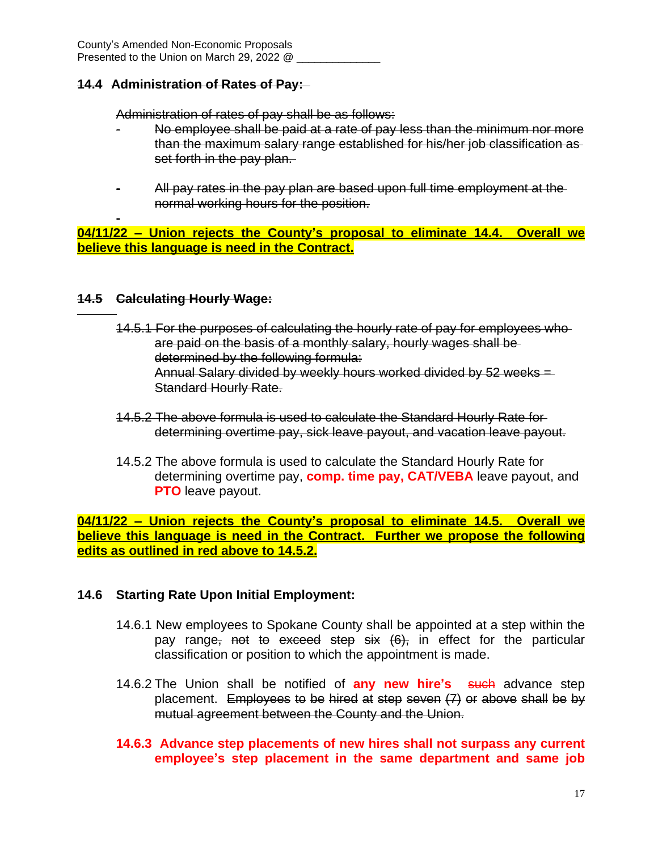### **14.4 Administration of Rates of Pay:**

Administration of rates of pay shall be as follows:

- No employee shall be paid at a rate of pay less than the minimum nor more than the maximum salary range established for his/her job classification as set forth in the pay plan.
- All pay rates in the pay plan are based upon full time employment at the normal working hours for the position.

**- 04/11/22 – Union rejects the County's proposal to eliminate 14.4. Overall we believe this language is need in the Contract.**

#### **14.5 Calculating Hourly Wage:**

-

- 14.5.1 For the purposes of calculating the hourly rate of pay for employees who are paid on the basis of a monthly salary, hourly wages shall be determined by the following formula: Annual Salary divided by weekly hours worked divided by 52 weeks = Standard Hourly Rate.
- 14.5.2 The above formula is used to calculate the Standard Hourly Rate for determining overtime pay, sick leave payout, and vacation leave payout.
- 14.5.2 The above formula is used to calculate the Standard Hourly Rate for determining overtime pay, **comp. time pay, CAT/VEBA** leave payout, and **PTO** leave payout.

**04/11/22 – Union rejects the County's proposal to eliminate 14.5. Overall we believe this language is need in the Contract. Further we propose the following edits as outlined in red above to 14.5.2.**

### **14.6 Starting Rate Upon Initial Employment:**

- 14.6.1 New employees to Spokane County shall be appointed at a step within the pay range, not to exceed step six (6), in effect for the particular classification or position to which the appointment is made.
- 14.6.2 The Union shall be notified of **any new hire's** such advance step placement. Employees to be hired at step seven  $(7)$  or above shall be by mutual agreement between the County and the Union.
- **14.6.3 Advance step placements of new hires shall not surpass any current employee's step placement in the same department and same job**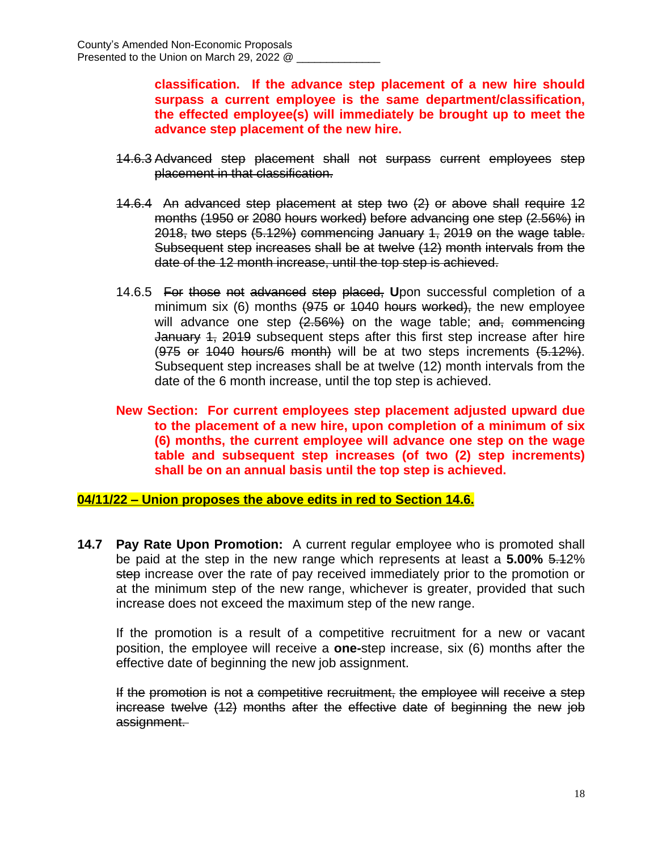**classification. If the advance step placement of a new hire should surpass a current employee is the same department/classification, the effected employee(s) will immediately be brought up to meet the advance step placement of the new hire.**

- 14.6.3 Advanced step placement shall not surpass current employees step placement in that classification.
- 14.6.4 An advanced step placement at step two (2) or above shall require 12 months (1950 or 2080 hours worked) before advancing one step (2.56%) in 2018, two steps (5.12%) commencing January 1, 2019 on the wage table. Subsequent step increases shall be at twelve (12) month intervals from the date of the 12 month increase, until the top step is achieved.
- 14.6.5 For those not advanced step placed, **U**pon successful completion of a minimum six (6) months (975 or 1040 hours worked), the new employee will advance one step  $(2.56%)$  on the wage table; and, commencing January 4, 2019 subsequent steps after this first step increase after hire  $(975$  or 1040 hours/6 month) will be at two steps increments  $(5.12\%)$ . Subsequent step increases shall be at twelve (12) month intervals from the date of the 6 month increase, until the top step is achieved.
- **New Section: For current employees step placement adjusted upward due to the placement of a new hire, upon completion of a minimum of six (6) months, the current employee will advance one step on the wage table and subsequent step increases (of two (2) step increments) shall be on an annual basis until the top step is achieved.**

#### **04/11/22 – Union proposes the above edits in red to Section 14.6.**

**14.7 Pay Rate Upon Promotion:** A current regular employee who is promoted shall be paid at the step in the new range which represents at least a **5.00%** 5.12% step increase over the rate of pay received immediately prior to the promotion or at the minimum step of the new range, whichever is greater, provided that such increase does not exceed the maximum step of the new range.

If the promotion is a result of a competitive recruitment for a new or vacant position, the employee will receive a **one-**step increase, six (6) months after the effective date of beginning the new job assignment.

If the promotion is not a competitive recruitment, the employee will receive a step increase twelve (12) months after the effective date of beginning the new job assignment.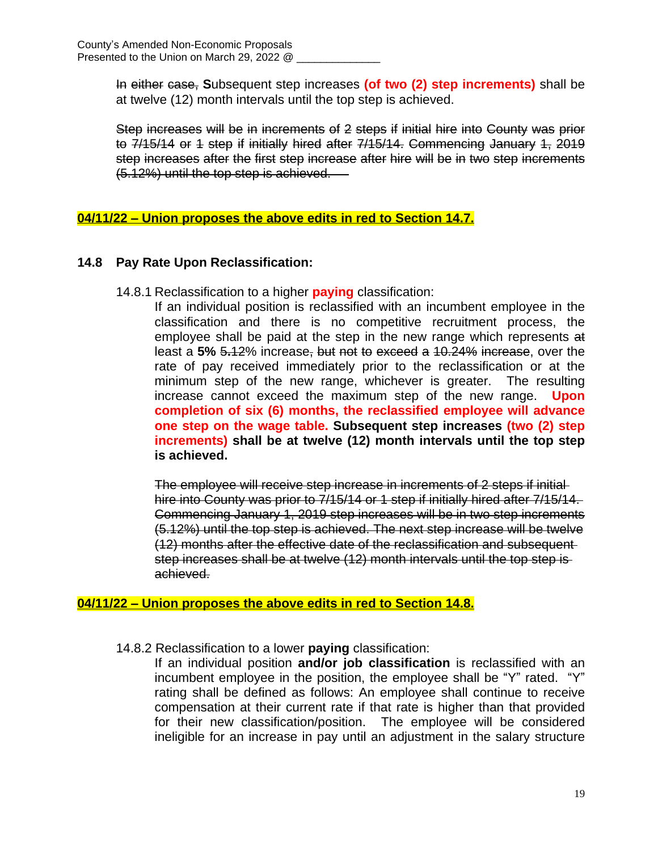In either case, **S**ubsequent step increases **(of two (2) step increments)** shall be at twelve (12) month intervals until the top step is achieved.

Step increases will be in increments of 2 steps if initial hire into County was prior to 7/15/14 or 1 step if initially hired after 7/15/14. Commencing January 1, 2019 step increases after the first step increase after hire will be in two step increments (5.12%) until the top step is achieved.

## **04/11/22 – Union proposes the above edits in red to Section 14.7.**

## **14.8 Pay Rate Upon Reclassification:**

14.8.1 Reclassification to a higher **paying** classification:

If an individual position is reclassified with an incumbent employee in the classification and there is no competitive recruitment process, the employee shall be paid at the step in the new range which represents at least a **5%** 5**.**12% increase, but not to exceed a 10.24% increase, over the rate of pay received immediately prior to the reclassification or at the minimum step of the new range, whichever is greater. The resulting increase cannot exceed the maximum step of the new range. **Upon completion of six (6) months, the reclassified employee will advance one step on the wage table. Subsequent step increases (two (2) step increments) shall be at twelve (12) month intervals until the top step is achieved.**

The employee will receive step increase in increments of 2 steps if initial hire into County was prior to 7/15/14 or 1 step if initially hired after 7/15/14. Commencing January 1, 2019 step increases will be in two step increments (5.12%) until the top step is achieved. The next step increase will be twelve (12) months after the effective date of the reclassification and subsequent step increases shall be at twelve (12) month intervals until the top step is achieved.

### **04/11/22 – Union proposes the above edits in red to Section 14.8.**

14.8.2 Reclassification to a lower **paying** classification:

If an individual position **and/or job classification** is reclassified with an incumbent employee in the position, the employee shall be "Y" rated. "Y" rating shall be defined as follows: An employee shall continue to receive compensation at their current rate if that rate is higher than that provided for their new classification/position. The employee will be considered ineligible for an increase in pay until an adjustment in the salary structure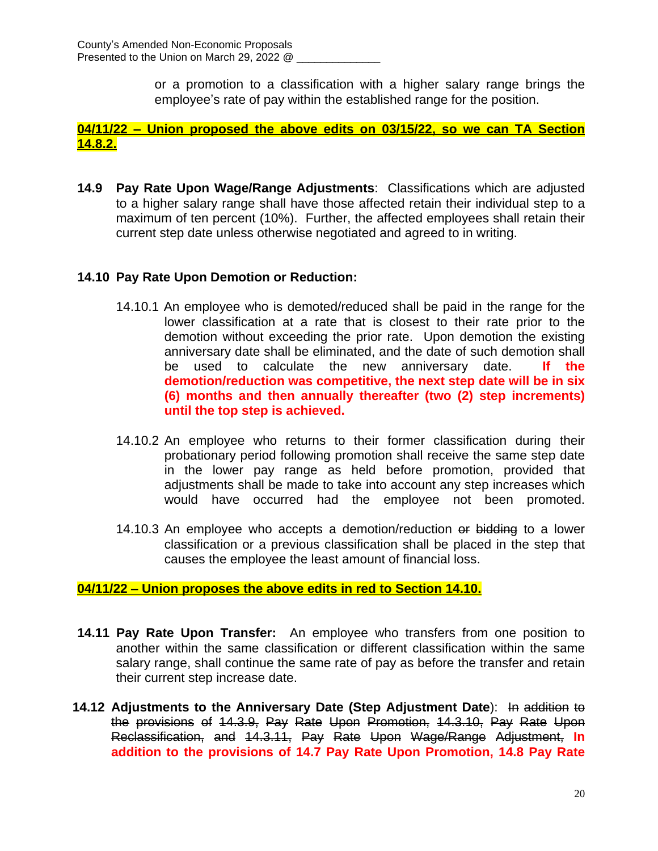or a promotion to a classification with a higher salary range brings the employee's rate of pay within the established range for the position.

**04/11/22 – Union proposed the above edits on 03/15/22, so we can TA Section 14.8.2.**

**14.9 Pay Rate Upon Wage/Range Adjustments**: Classifications which are adjusted to a higher salary range shall have those affected retain their individual step to a maximum of ten percent (10%). Further, the affected employees shall retain their current step date unless otherwise negotiated and agreed to in writing.

## **14.10 Pay Rate Upon Demotion or Reduction:**

- 14.10.1 An employee who is demoted/reduced shall be paid in the range for the lower classification at a rate that is closest to their rate prior to the demotion without exceeding the prior rate. Upon demotion the existing anniversary date shall be eliminated, and the date of such demotion shall be used to calculate the new anniversary date. **If the demotion/reduction was competitive, the next step date will be in six (6) months and then annually thereafter (two (2) step increments) until the top step is achieved.**
- 14.10.2 An employee who returns to their former classification during their probationary period following promotion shall receive the same step date in the lower pay range as held before promotion, provided that adjustments shall be made to take into account any step increases which would have occurred had the employee not been promoted.
- 14.10.3 An employee who accepts a demotion/reduction or bidding to a lower classification or a previous classification shall be placed in the step that causes the employee the least amount of financial loss.

## **04/11/22 – Union proposes the above edits in red to Section 14.10.**

- **14.11 Pay Rate Upon Transfer:** An employee who transfers from one position to another within the same classification or different classification within the same salary range, shall continue the same rate of pay as before the transfer and retain their current step increase date.
- **14.12 Adjustments to the Anniversary Date (Step Adjustment Date**): In addition to the provisions of 14.3.9, Pay Rate Upon Promotion, 14.3.10, Pay Rate Upon Reclassification, and 14.3.11, Pay Rate Upon Wage/Range Adjustment, **In addition to the provisions of 14.7 Pay Rate Upon Promotion, 14.8 Pay Rate**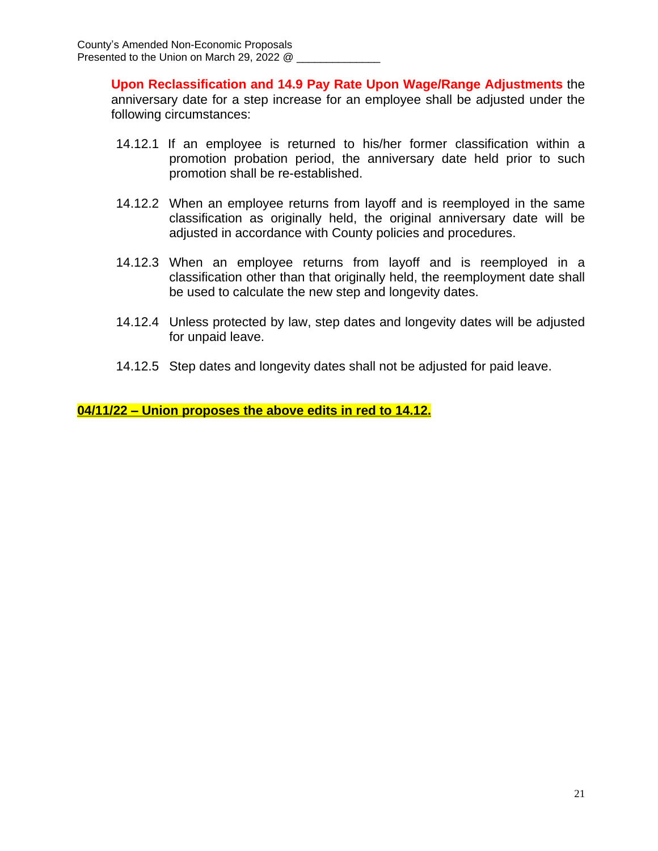**Upon Reclassification and 14.9 Pay Rate Upon Wage/Range Adjustments** the anniversary date for a step increase for an employee shall be adjusted under the following circumstances:

- 14.12.1 If an employee is returned to his/her former classification within a promotion probation period, the anniversary date held prior to such promotion shall be re-established.
- 14.12.2 When an employee returns from layoff and is reemployed in the same classification as originally held, the original anniversary date will be adjusted in accordance with County policies and procedures.
- 14.12.3 When an employee returns from layoff and is reemployed in a classification other than that originally held, the reemployment date shall be used to calculate the new step and longevity dates.
- 14.12.4 Unless protected by law, step dates and longevity dates will be adjusted for unpaid leave.
- 14.12.5 Step dates and longevity dates shall not be adjusted for paid leave.

**04/11/22 – Union proposes the above edits in red to 14.12.**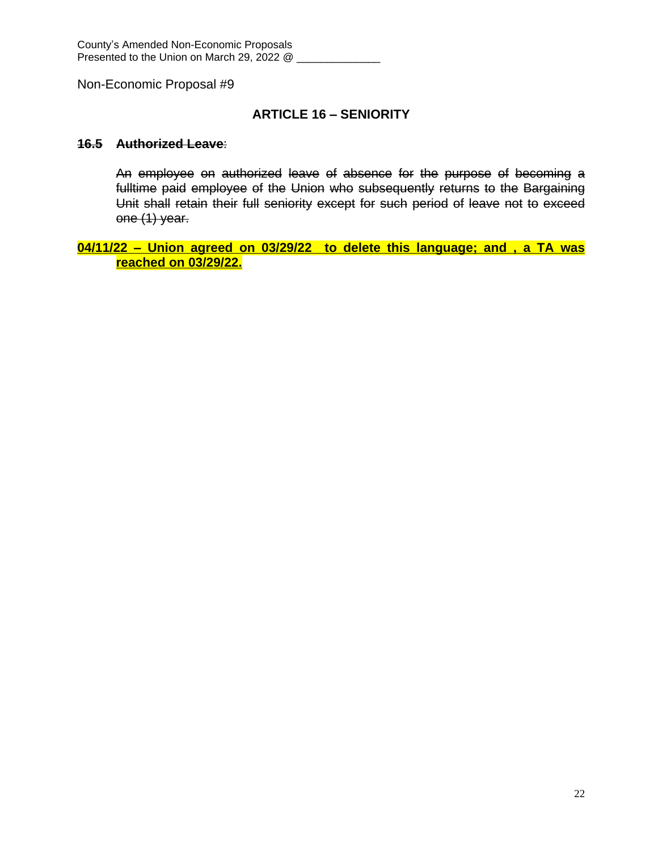### **ARTICLE 16 – SENIORITY**

#### **16.5 Authorized Leave**:

An employee on authorized leave of absence for the purpose of becoming a fulltime paid employee of the Union who subsequently returns to the Bargaining Unit shall retain their full seniority except for such period of leave not to exceed one (1) year.

**04/11/22 – Union agreed on 03/29/22 to delete this language; and , a TA was reached on 03/29/22.**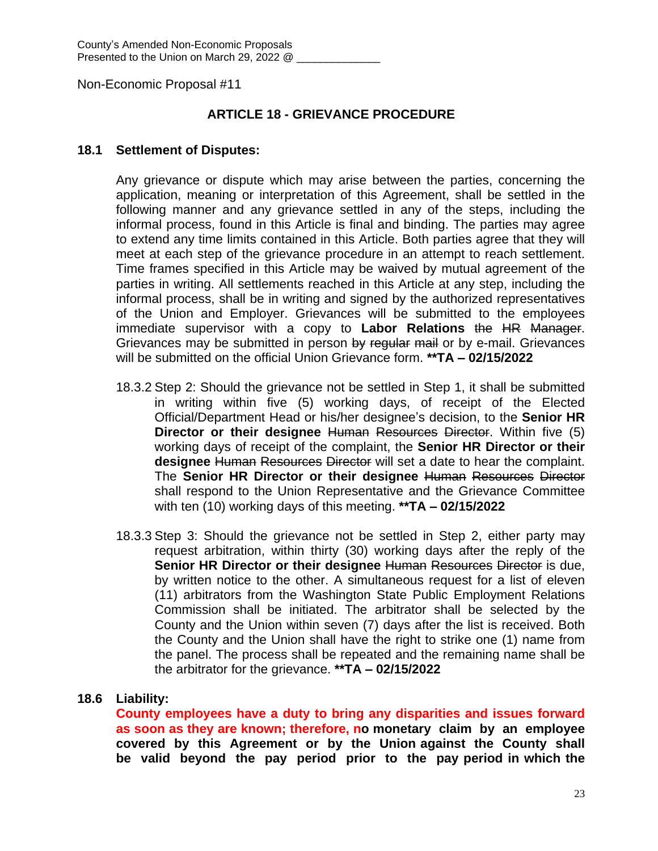## **ARTICLE 18 - GRIEVANCE PROCEDURE**

#### **18.1 Settlement of Disputes:**

Any grievance or dispute which may arise between the parties, concerning the application, meaning or interpretation of this Agreement, shall be settled in the following manner and any grievance settled in any of the steps, including the informal process, found in this Article is final and binding. The parties may agree to extend any time limits contained in this Article. Both parties agree that they will meet at each step of the grievance procedure in an attempt to reach settlement. Time frames specified in this Article may be waived by mutual agreement of the parties in writing. All settlements reached in this Article at any step, including the informal process, shall be in writing and signed by the authorized representatives of the Union and Employer. Grievances will be submitted to the employees immediate supervisor with a copy to **Labor Relations** the HR Manager. Grievances may be submitted in person by regular mail or by e-mail. Grievances will be submitted on the official Union Grievance form. **\*\*TA – 02/15/2022**

- 18.3.2 Step 2: Should the grievance not be settled in Step 1, it shall be submitted in writing within five (5) working days, of receipt of the Elected Official/Department Head or his/her designee's decision, to the **Senior HR Director or their designee** Human Resources Director. Within five (5) working days of receipt of the complaint, the **Senior HR Director or their designee** Human Resources Director will set a date to hear the complaint. The **Senior HR Director or their designee** Human Resources Director shall respond to the Union Representative and the Grievance Committee with ten (10) working days of this meeting. **\*\*TA – 02/15/2022**
- 18.3.3 Step 3: Should the grievance not be settled in Step 2, either party may request arbitration, within thirty (30) working days after the reply of the **Senior HR Director or their designee** Human Resources Director is due, by written notice to the other. A simultaneous request for a list of eleven (11) arbitrators from the Washington State Public Employment Relations Commission shall be initiated. The arbitrator shall be selected by the County and the Union within seven (7) days after the list is received. Both the County and the Union shall have the right to strike one (1) name from the panel. The process shall be repeated and the remaining name shall be the arbitrator for the grievance. **\*\*TA – 02/15/2022**

### **18.6 Liability:**

**County employees have a duty to bring any disparities and issues forward as soon as they are known; therefore, no monetary claim by an employee covered by this Agreement or by the Union against the County shall be valid beyond the pay period prior to the pay period in which the**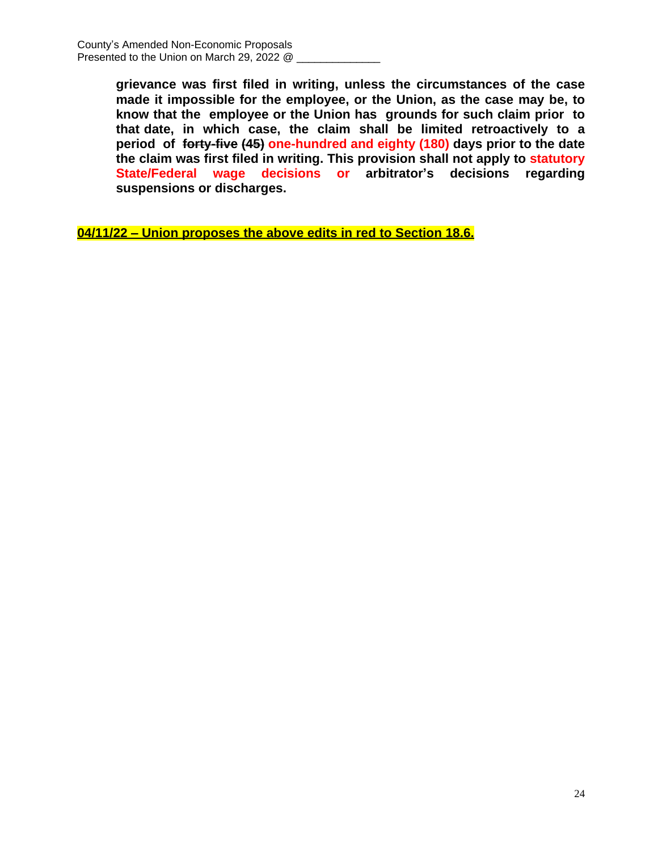**grievance was first filed in writing, unless the circumstances of the case made it impossible for the employee, or the Union, as the case may be, to know that the employee or the Union has grounds for such claim prior to that date, in which case, the claim shall be limited retroactively to a period of forty-five (45) one-hundred and eighty (180) days prior to the date the claim was first filed in writing. This provision shall not apply to statutory State/Federal wage decisions or arbitrator's decisions regarding suspensions or discharges.**

**04/11/22 – Union proposes the above edits in red to Section 18.6.**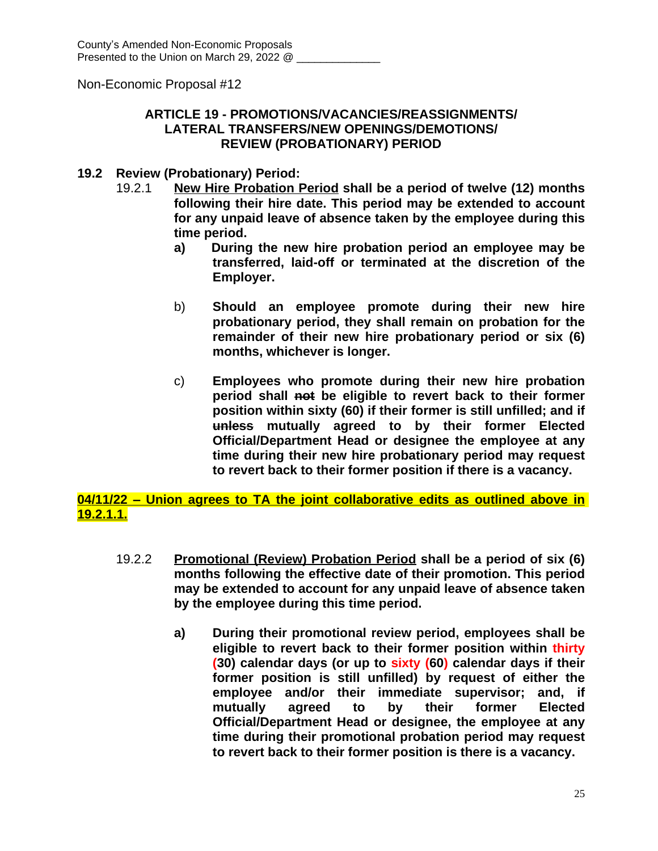## **ARTICLE 19 - PROMOTIONS/VACANCIES/REASSIGNMENTS/ LATERAL TRANSFERS/NEW OPENINGS/DEMOTIONS/ REVIEW (PROBATIONARY) PERIOD**

### **19.2 Review (Probationary) Period:**

- 19.2.1 **New Hire Probation Period shall be a period of twelve (12) months following their hire date. This period may be extended to account for any unpaid leave of absence taken by the employee during this time period.**
	- **a) During the new hire probation period an employee may be transferred, laid-off or terminated at the discretion of the Employer.**
	- b) **Should an employee promote during their new hire probationary period, they shall remain on probation for the remainder of their new hire probationary period or six (6) months, whichever is longer.**
	- c) **Employees who promote during their new hire probation period shall not be eligible to revert back to their former position within sixty (60) if their former is still unfilled; and if unless mutually agreed to by their former Elected Official/Department Head or designee the employee at any time during their new hire probationary period may request to revert back to their former position if there is a vacancy.**

**04/11/22 – Union agrees to TA the joint collaborative edits as outlined above in 19.2.1.1.**

- 19.2.2 **Promotional (Review) Probation Period shall be a period of six (6) months following the effective date of their promotion. This period may be extended to account for any unpaid leave of absence taken by the employee during this time period.**
	- **a) During their promotional review period, employees shall be eligible to revert back to their former position within thirty (30) calendar days (or up to sixty (60) calendar days if their former position is still unfilled) by request of either the employee and/or their immediate supervisor; and, if mutually agreed to by their former Elected Official/Department Head or designee, the employee at any time during their promotional probation period may request to revert back to their former position is there is a vacancy.**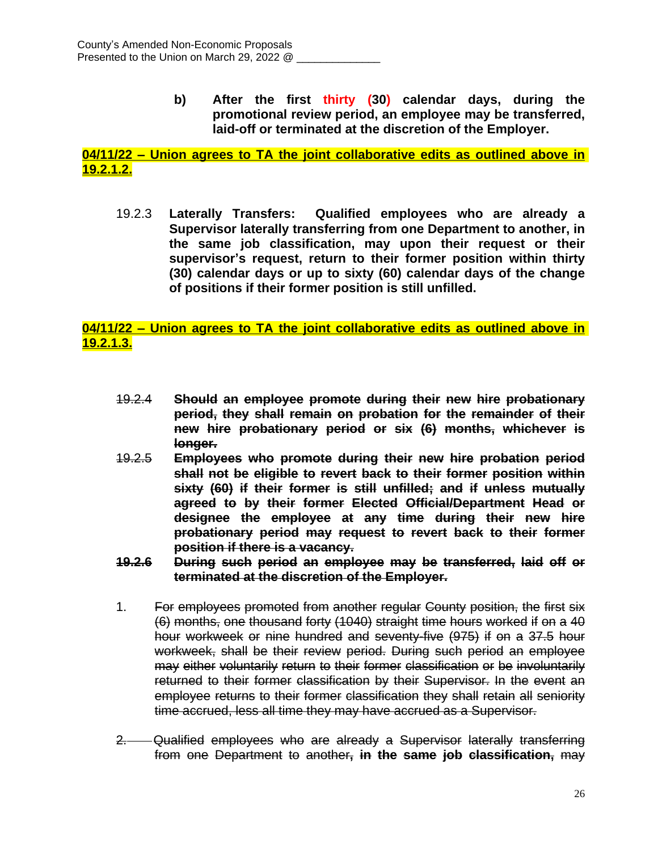**b) After the first thirty (30) calendar days, during the promotional review period, an employee may be transferred, laid-off or terminated at the discretion of the Employer.** 

## **04/11/22 – Union agrees to TA the joint collaborative edits as outlined above in 19.2.1.2.**

19.2.3 **Laterally Transfers: Qualified employees who are already a Supervisor laterally transferring from one Department to another, in the same job classification, may upon their request or their supervisor's request, return to their former position within thirty (30) calendar days or up to sixty (60) calendar days of the change of positions if their former position is still unfilled.**

#### **04/11/22 – Union agrees to TA the joint collaborative edits as outlined above in 19.2.1.3.**

- 19.2.4 **Should an employee promote during their new hire probationary period, they shall remain on probation for the remainder of their new hire probationary period or six (6) months, whichever is longer.**
- 19.2.5 **Employees who promote during their new hire probation period shall not be eligible to revert back to their former position within sixty (60) if their former is still unfilled; and if unless mutually agreed to by their former Elected Official/Department Head or designee the employee at any time during their new hire probationary period may request to revert back to their former position if there is a vacancy.**
- **19.2.6 During such period an employee may be transferred, laid off or terminated at the discretion of the Employer.**
- 1. For employees promoted from another regular County position, the first six (6) months, one thousand forty (1040) straight time hours worked if on a 40 hour workweek or nine hundred and seventy-five (975) if on a 37.5 hour workweek, shall be their review period. During such period an employee may either voluntarily return to their former classification or be involuntarily returned to their former classification by their Supervisor. In the event an employee returns to their former classification they shall retain all seniority time accrued, less all time they may have accrued as a Supervisor.
- 2. Qualified employees who are already a Supervisor laterally transferring from one Department to another**, in the same job classification,** may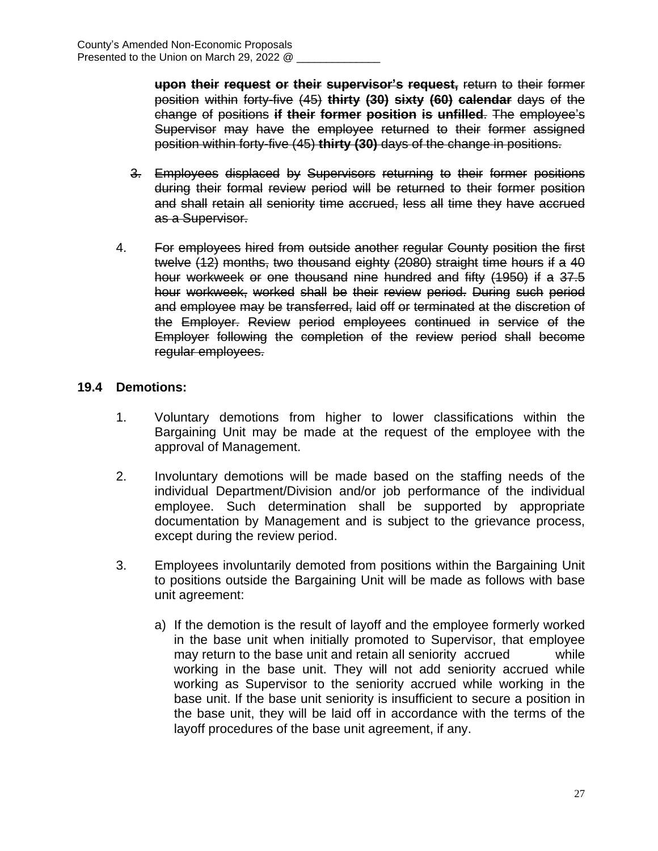**upon their request or their supervisor's request,** return to their former position within forty-five (45) **thirty (30) sixty (60) calendar** days of the change of positions **if their former position is unfilled**. The employee's Supervisor may have the employee returned to their former assigned position within forty-five (45) **thirty (30)** days of the change in positions.

- 3. Employees displaced by Supervisors returning to their former positions during their formal review period will be returned to their former position and shall retain all seniority time accrued, less all time they have accrued as a Supervisor.
- 4. For employees hired from outside another regular County position the first twelve (12) months, two thousand eighty (2080) straight time hours if a 40 hour workweek or one thousand nine hundred and fifty (1950) if a 37.5 hour workweek, worked shall be their review period. During such period and employee may be transferred, laid off or terminated at the discretion of the Employer. Review period employees continued in service of the Employer following the completion of the review period shall become regular employees.

## **19.4 Demotions:**

- 1. Voluntary demotions from higher to lower classifications within the Bargaining Unit may be made at the request of the employee with the approval of Management.
- 2. Involuntary demotions will be made based on the staffing needs of the individual Department/Division and/or job performance of the individual employee. Such determination shall be supported by appropriate documentation by Management and is subject to the grievance process, except during the review period.
- 3. Employees involuntarily demoted from positions within the Bargaining Unit to positions outside the Bargaining Unit will be made as follows with base unit agreement:
	- a) If the demotion is the result of layoff and the employee formerly worked in the base unit when initially promoted to Supervisor, that employee may return to the base unit and retain all seniority accrued while working in the base unit. They will not add seniority accrued while working as Supervisor to the seniority accrued while working in the base unit. If the base unit seniority is insufficient to secure a position in the base unit, they will be laid off in accordance with the terms of the layoff procedures of the base unit agreement, if any.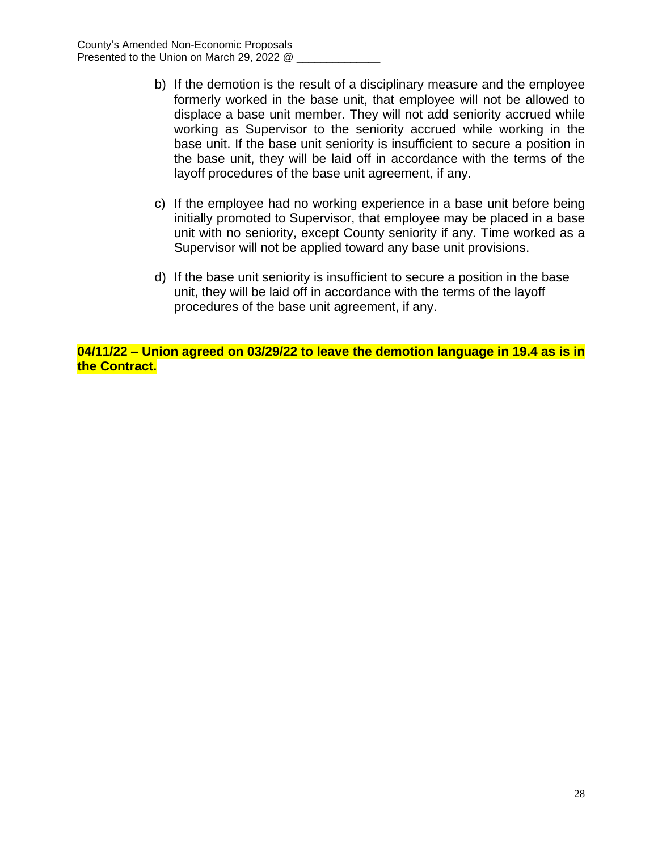- b) If the demotion is the result of a disciplinary measure and the employee formerly worked in the base unit, that employee will not be allowed to displace a base unit member. They will not add seniority accrued while working as Supervisor to the seniority accrued while working in the base unit. If the base unit seniority is insufficient to secure a position in the base unit, they will be laid off in accordance with the terms of the layoff procedures of the base unit agreement, if any.
- c) If the employee had no working experience in a base unit before being initially promoted to Supervisor, that employee may be placed in a base unit with no seniority, except County seniority if any. Time worked as a Supervisor will not be applied toward any base unit provisions.
- d) If the base unit seniority is insufficient to secure a position in the base unit, they will be laid off in accordance with the terms of the layoff procedures of the base unit agreement, if any.

**04/11/22 – Union agreed on 03/29/22 to leave the demotion language in 19.4 as is in the Contract.**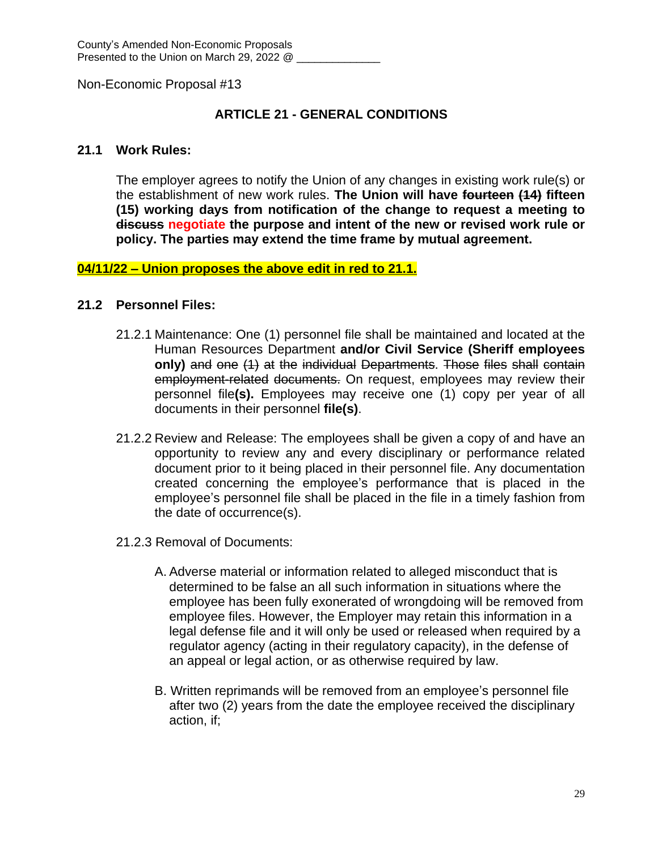## **ARTICLE 21 - GENERAL CONDITIONS**

#### **21.1 Work Rules:**

The employer agrees to notify the Union of any changes in existing work rule(s) or the establishment of new work rules. **The Union will have fourteen (14) fifteen (15) working days from notification of the change to request a meeting to discuss negotiate the purpose and intent of the new or revised work rule or policy. The parties may extend the time frame by mutual agreement.**

#### **04/11/22 – Union proposes the above edit in red to 21.1.**

#### **21.2 Personnel Files:**

- 21.2.1 Maintenance: One (1) personnel file shall be maintained and located at the Human Resources Department **and/or Civil Service (Sheriff employees only)** and one (1) at the individual Departments. Those files shall contain employment-related documents. On request, employees may review their personnel file**(s).** Employees may receive one (1) copy per year of all documents in their personnel **file(s)**.
- 21.2.2 Review and Release: The employees shall be given a copy of and have an opportunity to review any and every disciplinary or performance related document prior to it being placed in their personnel file. Any documentation created concerning the employee's performance that is placed in the employee's personnel file shall be placed in the file in a timely fashion from the date of occurrence(s).
- 21.2.3 Removal of Documents:
	- A. Adverse material or information related to alleged misconduct that is determined to be false an all such information in situations where the employee has been fully exonerated of wrongdoing will be removed from employee files. However, the Employer may retain this information in a legal defense file and it will only be used or released when required by a regulator agency (acting in their regulatory capacity), in the defense of an appeal or legal action, or as otherwise required by law.
	- B. Written reprimands will be removed from an employee's personnel file after two (2) years from the date the employee received the disciplinary action, if;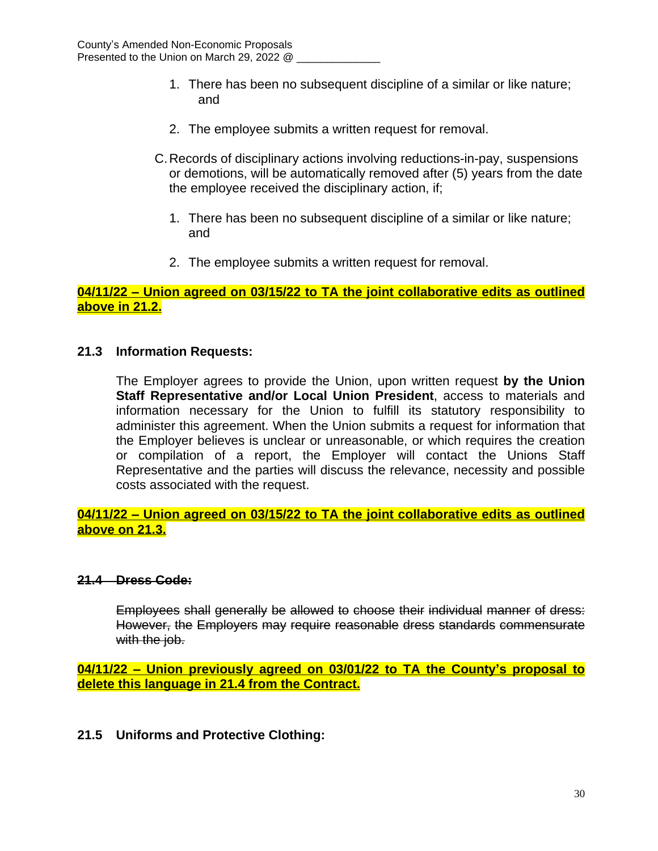- 1. There has been no subsequent discipline of a similar or like nature; and
- 2. The employee submits a written request for removal.
- C.Records of disciplinary actions involving reductions-in-pay, suspensions or demotions, will be automatically removed after (5) years from the date the employee received the disciplinary action, if;
	- 1. There has been no subsequent discipline of a similar or like nature; and
	- 2. The employee submits a written request for removal.

#### **04/11/22 – Union agreed on 03/15/22 to TA the joint collaborative edits as outlined above in 21.2.**

#### **21.3 Information Requests:**

The Employer agrees to provide the Union, upon written request **by the Union Staff Representative and/or Local Union President**, access to materials and information necessary for the Union to fulfill its statutory responsibility to administer this agreement. When the Union submits a request for information that the Employer believes is unclear or unreasonable, or which requires the creation or compilation of a report, the Employer will contact the Unions Staff Representative and the parties will discuss the relevance, necessity and possible costs associated with the request.

#### **04/11/22 – Union agreed on 03/15/22 to TA the joint collaborative edits as outlined above on 21.3.**

#### **21.4 Dress Code:**

Employees shall generally be allowed to choose their individual manner of dress: However, the Employers may require reasonable dress standards commensurate with the job.

**04/11/22 – Union previously agreed on 03/01/22 to TA the County's proposal to delete this language in 21.4 from the Contract.**

### **21.5 Uniforms and Protective Clothing:**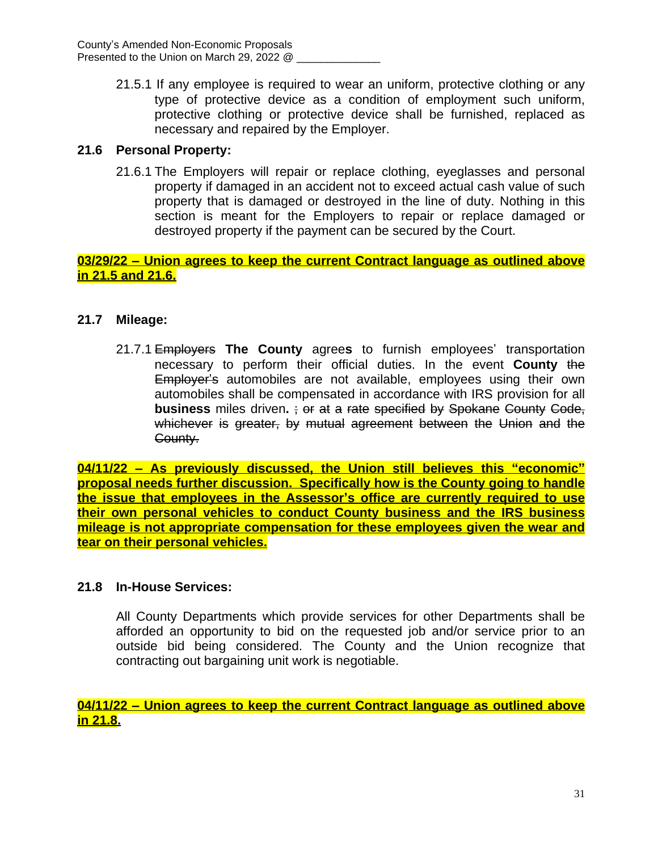21.5.1 If any employee is required to wear an uniform, protective clothing or any type of protective device as a condition of employment such uniform, protective clothing or protective device shall be furnished, replaced as necessary and repaired by the Employer.

## **21.6 Personal Property:**

21.6.1 The Employers will repair or replace clothing, eyeglasses and personal property if damaged in an accident not to exceed actual cash value of such property that is damaged or destroyed in the line of duty. Nothing in this section is meant for the Employers to repair or replace damaged or destroyed property if the payment can be secured by the Court.

**03/29/22 – Union agrees to keep the current Contract language as outlined above in 21.5 and 21.6.**

## **21.7 Mileage:**

21.7.1 Employers **The County** agree**s** to furnish employees' transportation necessary to perform their official duties. In the event **County** the Employer's automobiles are not available, employees using their own automobiles shall be compensated in accordance with IRS provision for all **business** miles driven**.** ; or at a rate specified by Spokane County Code, whichever is greater, by mutual agreement between the Union and the County.

**04/11/22 – As previously discussed, the Union still believes this "economic" proposal needs further discussion. Specifically how is the County going to handle the issue that employees in the Assessor's office are currently required to use their own personal vehicles to conduct County business and the IRS business mileage is not appropriate compensation for these employees given the wear and tear on their personal vehicles.**

### **21.8 In-House Services:**

All County Departments which provide services for other Departments shall be afforded an opportunity to bid on the requested job and/or service prior to an outside bid being considered. The County and the Union recognize that contracting out bargaining unit work is negotiable.

**04/11/22 – Union agrees to keep the current Contract language as outlined above in 21.8.**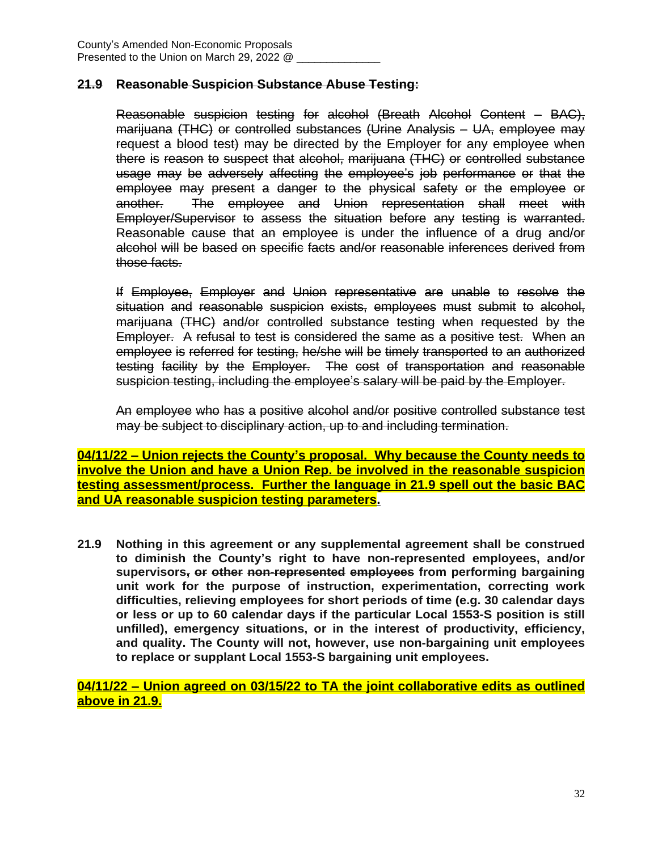#### **21.9 Reasonable Suspicion Substance Abuse Testing:**

Reasonable suspicion testing for alcohol (Breath Alcohol Content – BAC), marijuana (THC) or controlled substances (Urine Analysis – UA, employee may request a blood test) may be directed by the Employer for any employee when there is reason to suspect that alcohol, marijuana (THC) or controlled substance usage may be adversely affecting the employee's job performance or that the employee may present a danger to the physical safety or the employee or another. The employee and Union representation shall meet with Employer/Supervisor to assess the situation before any testing is warranted. Reasonable cause that an employee is under the influence of a drug and/or alcohol will be based on specific facts and/or reasonable inferences derived from those facts.

If Employee, Employer and Union representative are unable to resolve the situation and reasonable suspicion exists, employees must submit to alcohol, marijuana (THC) and/or controlled substance testing when requested by the Employer. A refusal to test is considered the same as a positive test. When an employee is referred for testing, he/she will be timely transported to an authorized testing facility by the Employer. The cost of transportation and reasonable suspicion testing, including the employee's salary will be paid by the Employer.

An employee who has a positive alcohol and/or positive controlled substance test may be subject to disciplinary action, up to and including termination.

**04/11/22 – Union rejects the County's proposal. Why because the County needs to involve the Union and have a Union Rep. be involved in the reasonable suspicion testing assessment/process. Further the language in 21.9 spell out the basic BAC and UA reasonable suspicion testing parameters.**

**21.9 Nothing in this agreement or any supplemental agreement shall be construed to diminish the County's right to have non-represented employees, and/or supervisors, or other non-represented employees from performing bargaining unit work for the purpose of instruction, experimentation, correcting work difficulties, relieving employees for short periods of time (e.g. 30 calendar days or less or up to 60 calendar days if the particular Local 1553-S position is still unfilled), emergency situations, or in the interest of productivity, efficiency, and quality. The County will not, however, use non-bargaining unit employees to replace or supplant Local 1553-S bargaining unit employees.**

**04/11/22 – Union agreed on 03/15/22 to TA the joint collaborative edits as outlined above in 21.9.**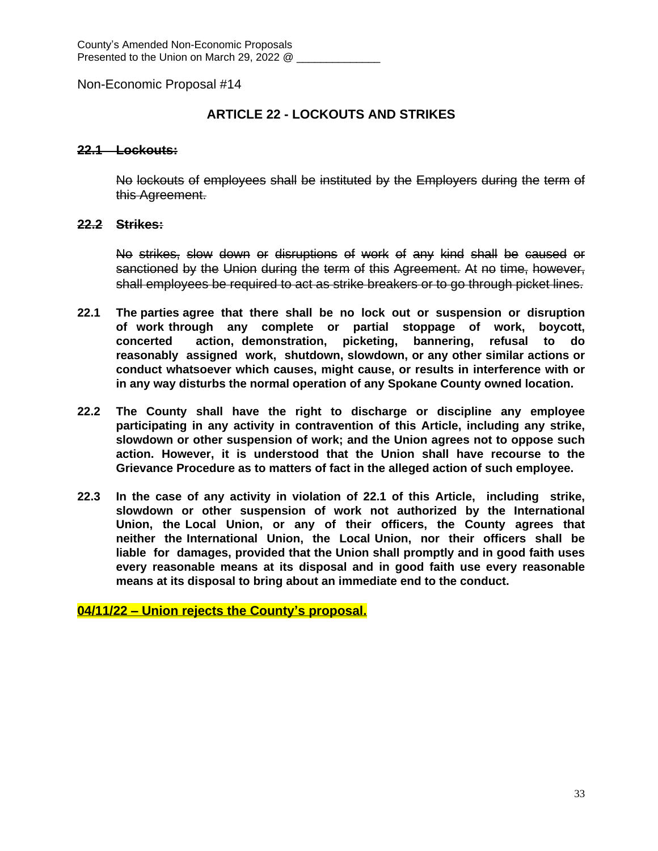## **ARTICLE 22 - LOCKOUTS AND STRIKES**

#### **22.1 Lockouts:**

No lockouts of employees shall be instituted by the Employers during the term of this Agreement.

#### **22.2 Strikes:**

No strikes, slow down or disruptions of work of any kind shall be caused or sanctioned by the Union during the term of this Agreement. At no time, however, shall employees be required to act as strike breakers or to go through picket lines.

- **22.1 The parties agree that there shall be no lock out or suspension or disruption of work through any complete or partial stoppage of work, boycott, concerted action, demonstration, picketing, bannering, refusal to do reasonably assigned work, shutdown, slowdown, or any other similar actions or conduct whatsoever which causes, might cause, or results in interference with or in any way disturbs the normal operation of any Spokane County owned location.**
- **22.2 The County shall have the right to discharge or discipline any employee participating in any activity in contravention of this Article, including any strike, slowdown or other suspension of work; and the Union agrees not to oppose such action. However, it is understood that the Union shall have recourse to the Grievance Procedure as to matters of fact in the alleged action of such employee.**
- **22.3 In the case of any activity in violation of 22.1 of this Article, including strike, slowdown or other suspension of work not authorized by the International Union, the Local Union, or any of their officers, the County agrees that neither the International Union, the Local Union, nor their officers shall be liable for damages, provided that the Union shall promptly and in good faith uses every reasonable means at its disposal and in good faith use every reasonable means at its disposal to bring about an immediate end to the conduct.**

**04/11/22 – Union rejects the County's proposal.**